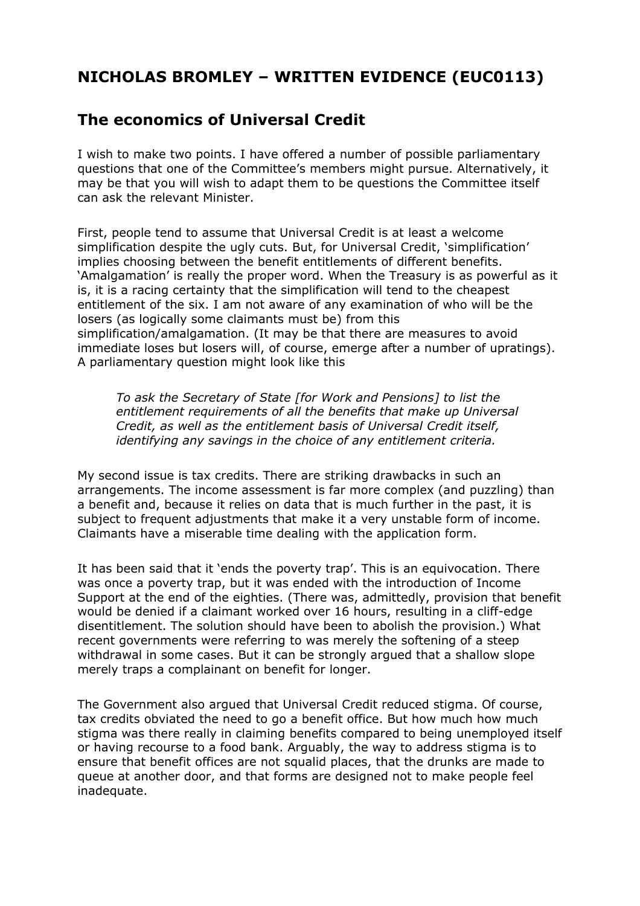## **NICHOLAS BROMLEY – WRITTEN EVIDENCE (EUC0113)**

## **The economics of Universal Credit**

I wish to make two points. I have offered a number of possible parliamentary questions that one of the Committee's members might pursue. Alternatively, it may be that you will wish to adapt them to be questions the Committee itself can ask the relevant Minister.

First, people tend to assume that Universal Credit is at least a welcome simplification despite the ugly cuts. But, for Universal Credit, 'simplification' implies choosing between the benefit entitlements of different benefits. 'Amalgamation' is really the proper word. When the Treasury is as powerful as it is, it is a racing certainty that the simplification will tend to the cheapest entitlement of the six. I am not aware of any examination of who will be the losers (as logically some claimants must be) from this simplification/amalgamation. (It may be that there are measures to avoid immediate loses but losers will, of course, emerge after a number of upratings). A parliamentary question might look like this

*To ask the Secretary of State [for Work and Pensions] to list the entitlement requirements of all the benefits that make up Universal Credit, as well as the entitlement basis of Universal Credit itself, identifying any savings in the choice of any entitlement criteria.*

My second issue is tax credits. There are striking drawbacks in such an arrangements. The income assessment is far more complex (and puzzling) than a benefit and, because it relies on data that is much further in the past, it is subject to frequent adjustments that make it a very unstable form of income. Claimants have a miserable time dealing with the application form.

It has been said that it 'ends the poverty trap'. This is an equivocation. There was once a poverty trap, but it was ended with the introduction of Income Support at the end of the eighties. (There was, admittedly, provision that benefit would be denied if a claimant worked over 16 hours, resulting in a cliff-edge disentitlement. The solution should have been to abolish the provision.) What recent governments were referring to was merely the softening of a steep withdrawal in some cases. But it can be strongly argued that a shallow slope merely traps a complainant on benefit for longer.

The Government also argued that Universal Credit reduced stigma. Of course, tax credits obviated the need to go a benefit office. But how much how much stigma was there really in claiming benefits compared to being unemployed itself or having recourse to a food bank. Arguably, the way to address stigma is to ensure that benefit offices are not squalid places, that the drunks are made to queue at another door, and that forms are designed not to make people feel inadequate.